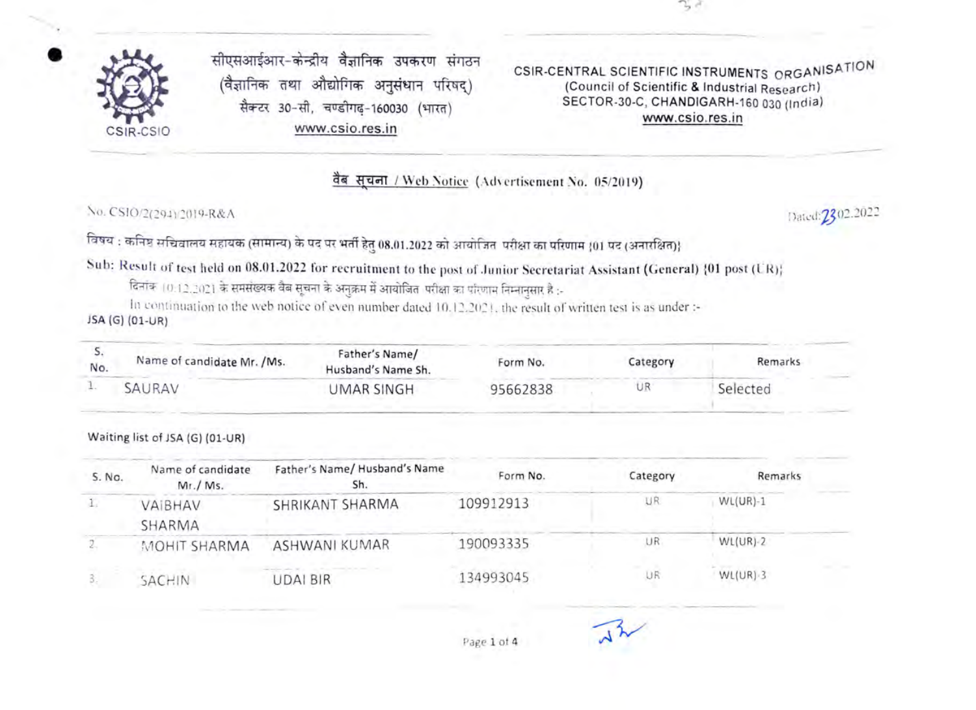

सीएसआईआर-केन्द्रीय वैज्ञानिक उपकरण संगठन<br>(वैज्ञानिक तथा औद्योगिक अनुसंधान परिषद्) सैक्टर 30-सी, चण्डीगढ-160030 (भारत) CSIR-CSIO www.csio.res.in

CSIR-CENTRAL SCIENTIFIC INSTRUMENTS ORGANISATION (Council of Scientific & Industrial Research) SECTOR-30-C, CHANDIGARH-160 030 (India) www.csio.res.in

वैब सचना / Web Notice (Advertisement No. 05/2019)

No. CSIO/2(294)/2019-R&A Dated: 2202.2022

विषय : कनिष्ठ सचिवालय सहायक (सामान्य) के पद पर भर्ती हेतु 08.01.2022 को आयोजित-परीक्षा का परिणाम (01 पद (अनारक्षित)}

Sub: Result of test held on 08.01.2022 for recruitment to the post of Junior Secretariat Assistant (General) {01 post (UR);<br>दिनांक (0.12.2021 के समसंख्यक वैब सूचना के अनुक्रम में आयोजित परीक्षा का परिणाम निम्नानसार है :-

ln continuation to the web notice of even number dated 10.12.2021, the result of written test is as under :-<br>JSA (G) (01-UR)

| No. | Name of candidate Mr. / Ms. | Father's Name/<br>Husband's Name Sh. | Form No. | Category | Remarks  |
|-----|-----------------------------|--------------------------------------|----------|----------|----------|
|     | SAURAV                      | JMAR SINGH                           | 95662838 | UR       | Selected |

## Waiting list of JSA (G) (01-UR)

| 5. No. | Name of candidate<br>Mr. / Ms. | Father's Name/Husband's Name<br>Sh. | Form No.  | Category | Remarks      |
|--------|--------------------------------|-------------------------------------|-----------|----------|--------------|
|        | VAIBHAV<br>SHARMA              | SHRIKANT SHARMA                     | 109912913 | UR       | $WL(UR)-1$   |
|        | MOHIT SHARMA                   | ASHWANI KUMAR                       | 190093335 | UR       | $WL(UR) - 2$ |
|        | SACHIN                         | <b>UDAI BIR</b>                     | 134993045 | UR       | $WL(UR) - 3$ |

Page 1 of 4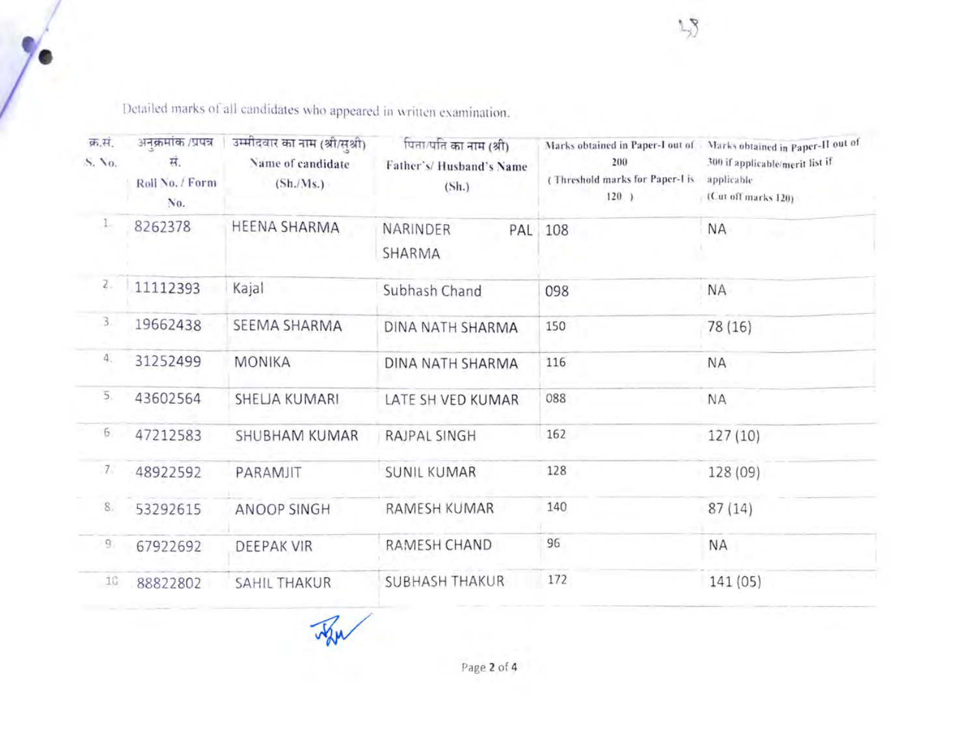Detailed marks of all candidates who appeared in written examination.

| क्र.सं.<br>S. Vo. | अनक्रमांक /प्रपन्न<br>स.<br>Roll No. / Form<br>No. | उम्मीदवार का नाम (श्री/सृशी)<br>Name of candidate<br>(Sh./Ms.) | पिता/पति का नाम (श्री)<br>Father's/Husband's Name<br>(Sh.) | 200<br>(Threshold marks for Paper-I is<br>$120$ ) | Marks obtained in Paper-I out of Narks obtained in Paper-II out of<br>300 if applicable/merit list if<br>applicable<br>(Cut off marks 120) |  |
|-------------------|----------------------------------------------------|----------------------------------------------------------------|------------------------------------------------------------|---------------------------------------------------|--------------------------------------------------------------------------------------------------------------------------------------------|--|
| л.                | 8262378                                            | HEENA SHARMA                                                   | NARINDER<br>SHARMA                                         | PAL 108                                           | <b>NA</b>                                                                                                                                  |  |
| $\mathbb{Z}_{-}$  | 11112393                                           | Kajal                                                          | Subhash Chand                                              | 098                                               | <b>NA</b>                                                                                                                                  |  |
| 3.                | 19662438                                           | SEEMA SHARMA                                                   | DINA NATH SHARMA                                           | 150                                               | 78 (16)                                                                                                                                    |  |
| 4.                | 31252499                                           | <b>MONIKA</b>                                                  | DINA NATH SHARMA                                           | 116                                               | <b>NA</b>                                                                                                                                  |  |
| 5.                | 43602564                                           | SHELJA KUMARI                                                  | LATE SH VED KUMAR                                          | 088                                               | <b>NA</b>                                                                                                                                  |  |
| 6                 | 47212583                                           | <b>SHUBHAM KUMAR</b>                                           | <b>RAJPAL SINGH</b>                                        | 162                                               | 127(10)                                                                                                                                    |  |
| 7.                | 48922592                                           | PARAMJIT                                                       | <b>SUNIL KUMAR</b>                                         | 128                                               | 128 (09)                                                                                                                                   |  |
| 8.                | 53292615                                           | ANOOP SINGH                                                    | RAMESH KUMAR                                               | 140                                               | 87(14)                                                                                                                                     |  |
| $\overline{9}$    | 67922692                                           | <b>DEEPAK VIR</b>                                              | RAMESH CHAND                                               | 96                                                | <b>NA</b>                                                                                                                                  |  |
| 10                | 88822802                                           | <b>SAHIL THAKUR</b>                                            | <b>SUBHASH THAKUR</b>                                      | 172                                               | 141 (05)                                                                                                                                   |  |

 $\lambda$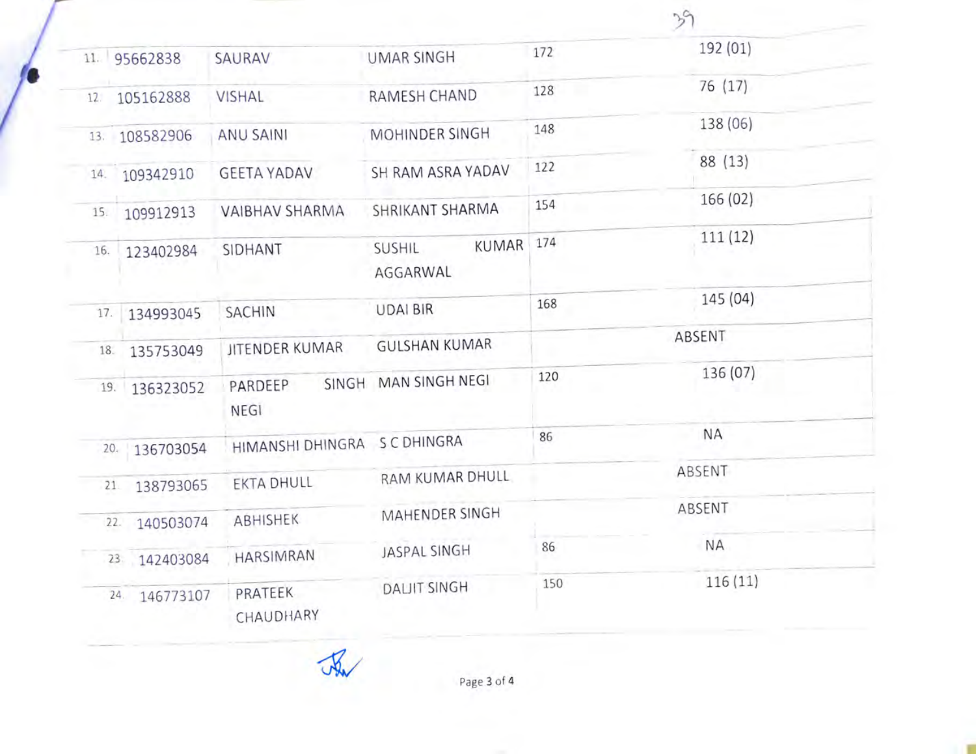|     |                  |                              |                                    |        | 39        |
|-----|------------------|------------------------------|------------------------------------|--------|-----------|
|     | 11. 95662838     | SAURAV                       | <b>UMAR SINGH</b>                  | 172    | 192 (01)  |
| 12. | 105162888        | <b>VISHAL</b>                | RAMESH CHAND                       | 128    | 76(17)    |
|     | 13. 108582906    | ANU SAINI                    | MOHINDER SINGH                     | 148    | 138 (06)  |
| 14. | 109342910        | <b>GEETA YADAV</b>           | SH RAM ASRA YADAV                  | 122    | 88 (13)   |
| 15. | 109912913        | VAIBHAV SHARMA               | SHRIKANT SHARMA                    | 154    | 166(02)   |
| 16. | 123402984        | SIDHANT                      | KUMAR<br><b>SUSHIL</b><br>AGGARWAL | 174    | 111(12)   |
| 17. | 134993045        | SACHIN                       | <b>UDAI BIR</b>                    | 168    | 145 (04)  |
| 18. | 135753049        | JITENDER KUMAR               | <b>GULSHAN KUMAR</b>               | ABSENT |           |
|     | 19. 136323052    | PARDEEP<br>NEGI              | SINGH MAN SINGH NEGI               | 120    | 136 (07)  |
|     | 20. 136703054    | HIMANSHI DHINGRA S C DHINGRA |                                    | 86     | <b>NA</b> |
| 21. | 138793065        | <b>EKTA DHULL</b>            | RAM KUMAR DHULL                    |        | ABSENT    |
|     | 22. 140503074    | ABHISHEK                     | MAHENDER SINGH                     |        | ABSENT    |
|     | 23 142403084     | HARSIMRAN                    | JASPAL SINGH                       | 86     | <b>NA</b> |
|     | 146773107<br>24. | PRATEEK<br>CHAUDHARY         | <b>DALIIT SINGH</b>                | 150    | 116(11)   |

 $\sqrt{2}$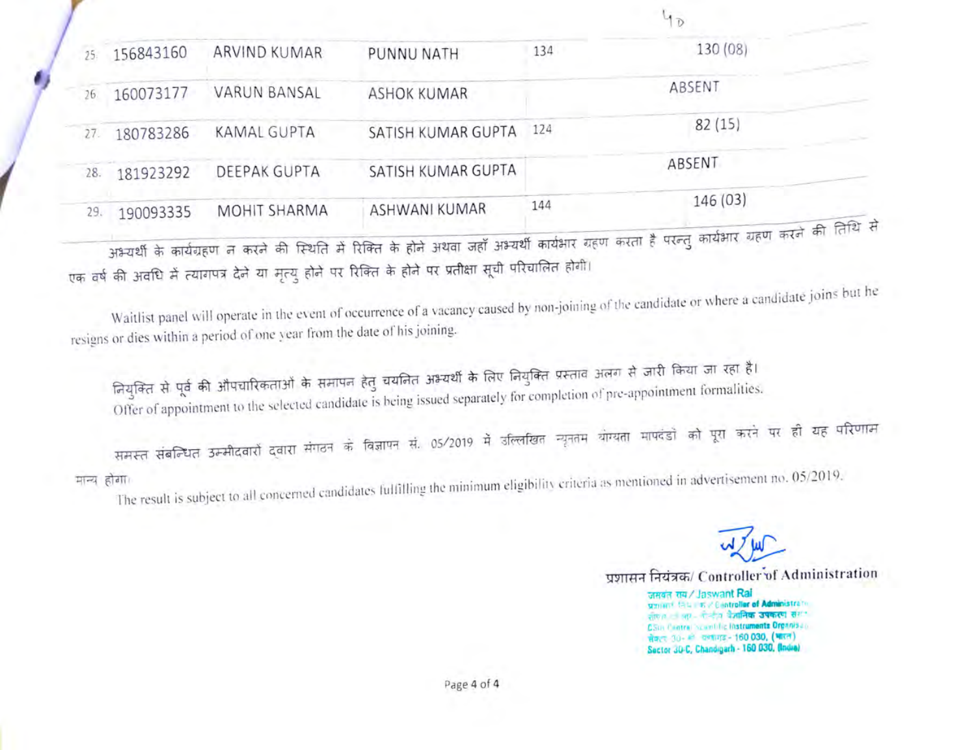| 130(08)<br>ARVIND KUMAR<br>134<br>156843160<br>PUNNU NATH<br>25.<br>ABSENT<br><b>VARUN BANSAL</b><br>160073177<br><b>ASHOK KUMAR</b><br>26<br>82(15)<br>124<br><b>KAMAL GUPTA</b><br>SATISH KUMAR GUPTA<br>180783286<br>27.<br>ABSENT<br>SATISH KUMAR GUPTA<br>DEEPAK GUPTA<br>181923292<br>28.<br>146 (03)<br>144<br>ASHWANI KUMAR<br><b>MOHIT SHARMA</b><br>190093335<br>29.<br>अभ्यर्थी के कार्यग्रहण न करने की स्थिति में रिक्ति के होने अथवा जहाँ अभ्यर्थी कार्यभार ग्रहण करता है परन्तु कार्यभार ग्रहण करने की तिथि से<br>एक वर्ष की अवधि में त्यागपत्र देने या मृत्यु होने पर रिक्ति के होने पर प्रतीक्षा सूची परिचालित होगी।<br>Waitlist panel will operate in the event of occurrence of a vacancy caused by non-joining of the candidate or where a candidate joins but he<br>resigns or dies within a period of one year from the date of his joining. |  |  |  |
|-------------------------------------------------------------------------------------------------------------------------------------------------------------------------------------------------------------------------------------------------------------------------------------------------------------------------------------------------------------------------------------------------------------------------------------------------------------------------------------------------------------------------------------------------------------------------------------------------------------------------------------------------------------------------------------------------------------------------------------------------------------------------------------------------------------------------------------------------------------------|--|--|--|
|                                                                                                                                                                                                                                                                                                                                                                                                                                                                                                                                                                                                                                                                                                                                                                                                                                                                   |  |  |  |
|                                                                                                                                                                                                                                                                                                                                                                                                                                                                                                                                                                                                                                                                                                                                                                                                                                                                   |  |  |  |
|                                                                                                                                                                                                                                                                                                                                                                                                                                                                                                                                                                                                                                                                                                                                                                                                                                                                   |  |  |  |
|                                                                                                                                                                                                                                                                                                                                                                                                                                                                                                                                                                                                                                                                                                                                                                                                                                                                   |  |  |  |
|                                                                                                                                                                                                                                                                                                                                                                                                                                                                                                                                                                                                                                                                                                                                                                                                                                                                   |  |  |  |
|                                                                                                                                                                                                                                                                                                                                                                                                                                                                                                                                                                                                                                                                                                                                                                                                                                                                   |  |  |  |
|                                                                                                                                                                                                                                                                                                                                                                                                                                                                                                                                                                                                                                                                                                                                                                                                                                                                   |  |  |  |

नियुक्ति से पूर्व की औपचारिकताओं के समापन हेतु चयनित अभ्यर्थी के लिए नियुक्ति प्रस्ताव अलग से जारी किया जा रहा है।<br>Offer of appointment to the selected candidate is being issued separately for completion of pre-appointmen

The result is subject to all concerned candidates fullilling the minimum eligibility criteria as mentioned in advertisement no. 05/2019.

प्रशासन नियंत्रक/ Controller of Administration

जसबंत राम/ Jaswant Rai प्रशासा<sup>र</sup> निया। कार Controller of Administrato CSIR Central Scientific Instruments Organisation Sector 30-C, Chandigarh-160 030, (ladia)